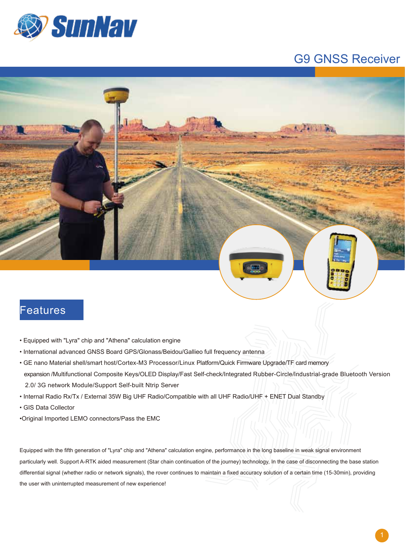

## G9 GNSS Receiver



## Features

- Equipped with "Lyra" chip and "Athena" calculation engine
- International advanced GNSS Board GPS/Glonass/Beidou/Gallieo full frequency antenna
- GE nano Material shell/smart host/Cortex-M3 Processor/Linux Platform/Quick Firmware Upgrade/TF card memory expansion /Multifunctional Composite Keys/OLED Display/Fast Self-check/Integrated Rubber-Circle/lndustrial-grade Bluetooth Version 2.0/ 3G network Module/Support Self-built Ntrip Server
- Internal Radio Rx/Tx / External 35W Big UHF Radio/Compatible with all UHF Radio/UHF + ENET Dual Standby
- GIS Data Collector
- •Original Imported LEMO connectors/Pass the EMC

Equipped with the fifth generation of "Lyra" chip and "Athena" calculation engine, performance in the long baseline in weak signal environment particularly well. Support A-RTK aided measurement (Star chain continuation of the journey) technology, In the case of disconnecting the base station differential signal (whether radio or network signals), the rover continues to maintain a fixed accuracy solution of a certain time (15-30min), providing the user with uninterrupted measurement of new experience!